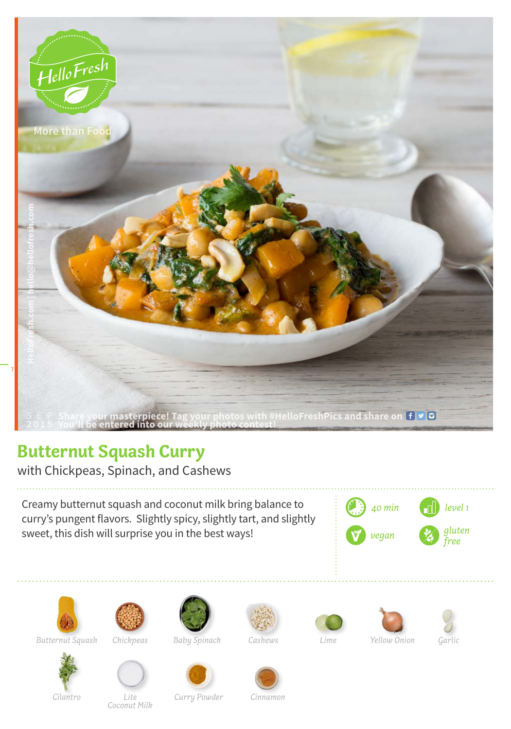

## **Butternut Squash Curry**

with Chickpeas, Spinach, and Cashews

Creamy butternut squash and coconut milk bring balance to curry's pungent flavors. Slightly spicy, slightly tart, and slightly sweet, this dish will surprise you in the best ways!





*Butternut Squash Chickpeas Baby Spinach Lime Yellow Onion Garlic*



*Coconut Milk*









*Lite*